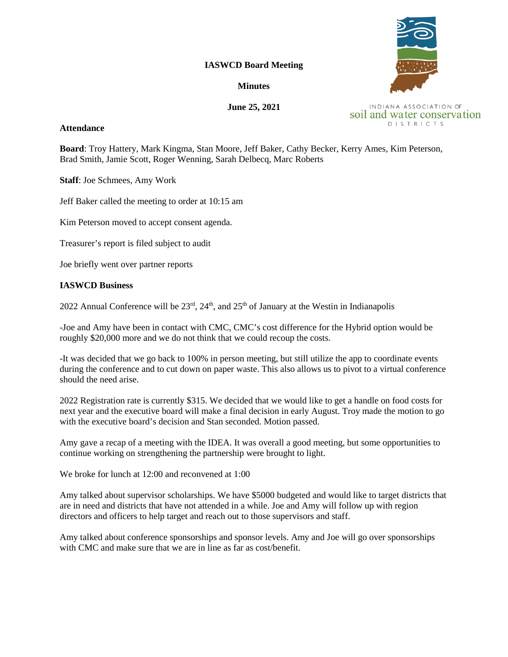### **IASWCD Board Meeting**

### **Minutes**

# **June 25, 2021**

#### **Attendance**

**DISTRICTS** 

**Board**: Troy Hattery, Mark Kingma, Stan Moore, Jeff Baker, Cathy Becker, Kerry Ames, Kim Peterson, Brad Smith, Jamie Scott, Roger Wenning, Sarah Delbecq, Marc Roberts

**Staff**: Joe Schmees, Amy Work

Jeff Baker called the meeting to order at 10:15 am

Kim Peterson moved to accept consent agenda.

Treasurer's report is filed subject to audit

Joe briefly went over partner reports

## **IASWCD Business**

2022 Annual Conference will be  $23<sup>rd</sup>$ ,  $24<sup>th</sup>$ , and  $25<sup>th</sup>$  of January at the Westin in Indianapolis

-Joe and Amy have been in contact with CMC, CMC's cost difference for the Hybrid option would be roughly \$20,000 more and we do not think that we could recoup the costs.

-It was decided that we go back to 100% in person meeting, but still utilize the app to coordinate events during the conference and to cut down on paper waste. This also allows us to pivot to a virtual conference should the need arise.

2022 Registration rate is currently \$315. We decided that we would like to get a handle on food costs for next year and the executive board will make a final decision in early August. Troy made the motion to go with the executive board's decision and Stan seconded. Motion passed.

Amy gave a recap of a meeting with the IDEA. It was overall a good meeting, but some opportunities to continue working on strengthening the partnership were brought to light.

We broke for lunch at 12:00 and reconvened at 1:00

Amy talked about supervisor scholarships. We have \$5000 budgeted and would like to target districts that are in need and districts that have not attended in a while. Joe and Amy will follow up with region directors and officers to help target and reach out to those supervisors and staff.

Amy talked about conference sponsorships and sponsor levels. Amy and Joe will go over sponsorships with CMC and make sure that we are in line as far as cost/benefit.



INDIANA ASSOCIATION OF soil and water conservation